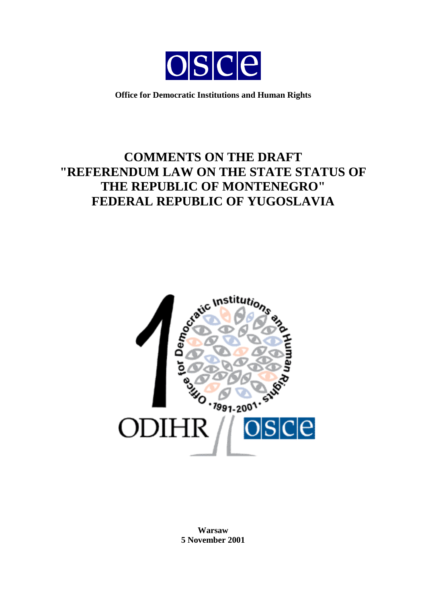

**Office for Democratic Institutions and Human Rights** 

# **COMMENTS ON THE DRAFT "REFERENDUM LAW ON THE STATE STATUS OF THE REPUBLIC OF MONTENEGRO" FEDERAL REPUBLIC OF YUGOSLAVIA**



**Warsaw 5 November 2001**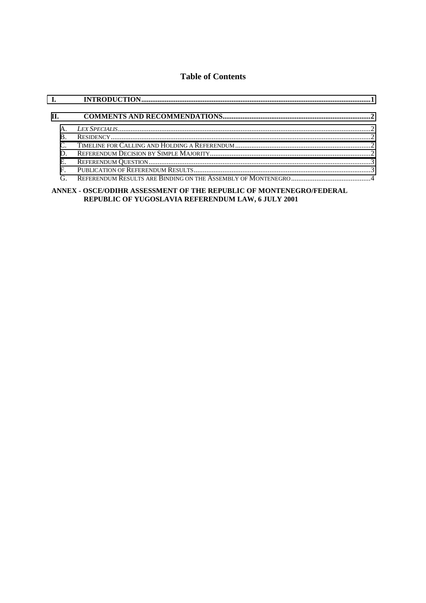# **Table of Contents**

| $\Pi$ . |  |
|---------|--|
|         |  |
|         |  |
|         |  |
|         |  |
| Е.      |  |
| F.      |  |
| G       |  |
|         |  |

#### ANNEX - OSCE/ODIHR ASSESSMENT OF THE REPUBLIC OF MONTENEGRO/FEDERAL REPUBLIC OF YUGOSLAVIA REFERENDUM LAW, 6 JULY 2001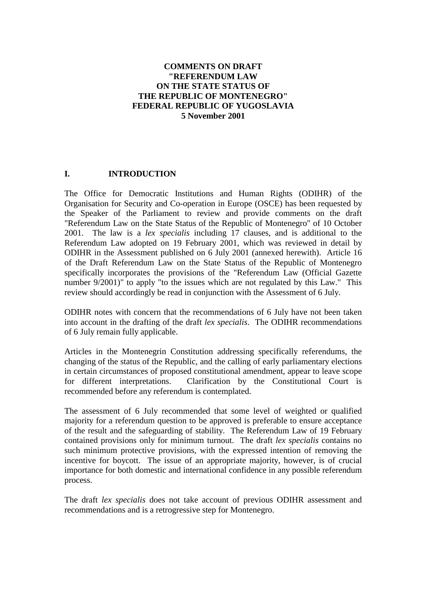## <span id="page-2-0"></span>**COMMENTS ON DRAFT "REFERENDUM LAW ON THE STATE STATUS OF THE REPUBLIC OF MONTENEGRO" FEDERAL REPUBLIC OF YUGOSLAVIA 5 November 2001**

### **I. INTRODUCTION**

The Office for Democratic Institutions and Human Rights (ODIHR) of the Organisation for Security and Co-operation in Europe (OSCE) has been requested by the Speaker of the Parliament to review and provide comments on the draft "Referendum Law on the State Status of the Republic of Montenegro" of 10 October 2001. The law is a *lex specialis* including 17 clauses, and is additional to the Referendum Law adopted on 19 February 2001, which was reviewed in detail by ODIHR in the Assessment published on 6 July 2001 (annexed herewith). Article 16 of the Draft Referendum Law on the State Status of the Republic of Montenegro specifically incorporates the provisions of the "Referendum Law (Official Gazette number 9/2001)" to apply "to the issues which are not regulated by this Law." This review should accordingly be read in conjunction with the Assessment of 6 July.

ODIHR notes with concern that the recommendations of 6 July have not been taken into account in the drafting of the draft *lex specialis*. The ODIHR recommendations of 6 July remain fully applicable.

Articles in the Montenegrin Constitution addressing specifically referendums, the changing of the status of the Republic, and the calling of early parliamentary elections in certain circumstances of proposed constitutional amendment, appear to leave scope for different interpretations. Clarification by the Constitutional Court is recommended before any referendum is contemplated.

The assessment of 6 July recommended that some level of weighted or qualified majority for a referendum question to be approved is preferable to ensure acceptance of the result and the safeguarding of stability. The Referendum Law of 19 February contained provisions only for minimum turnout. The draft *lex specialis* contains no such minimum protective provisions, with the expressed intention of removing the incentive for boycott. The issue of an appropriate majority, however, is of crucial importance for both domestic and international confidence in any possible referendum process.

The draft *lex specialis* does not take account of previous ODIHR assessment and recommendations and is a retrogressive step for Montenegro.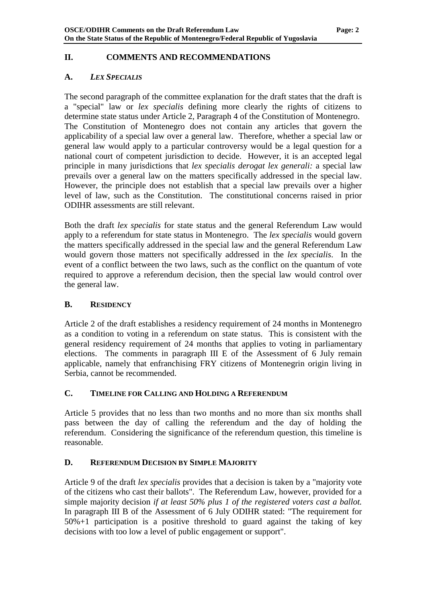## <span id="page-3-0"></span>**II. COMMENTS AND RECOMMENDATIONS**

## **A.** *LEX SPECIALIS*

The second paragraph of the committee explanation for the draft states that the draft is a "special" law or *lex specialis* defining more clearly the rights of citizens to determine state status under Article 2, Paragraph 4 of the Constitution of Montenegro. The Constitution of Montenegro does not contain any articles that govern the applicability of a special law over a general law. Therefore, whether a special law or general law would apply to a particular controversy would be a legal question for a national court of competent jurisdiction to decide. However, it is an accepted legal principle in many jurisdictions that *lex specialis derogat lex generali:* a special law prevails over a general law on the matters specifically addressed in the special law. However, the principle does not establish that a special law prevails over a higher level of law, such as the Constitution. The constitutional concerns raised in prior ODIHR assessments are still relevant.

Both the draft *lex specialis* for state status and the general Referendum Law would apply to a referendum for state status in Montenegro. The *lex specialis* would govern the matters specifically addressed in the special law and the general Referendum Law would govern those matters not specifically addressed in the *lex specialis*. In the event of a conflict between the two laws, such as the conflict on the quantum of vote required to approve a referendum decision, then the special law would control over the general law.

## **B. RESIDENCY**

Article 2 of the draft establishes a residency requirement of 24 months in Montenegro as a condition to voting in a referendum on state status. This is consistent with the general residency requirement of 24 months that applies to voting in parliamentary elections. The comments in paragraph III E of the Assessment of 6 July remain applicable, namely that enfranchising FRY citizens of Montenegrin origin living in Serbia, cannot be recommended.

## **C. TIMELINE FOR CALLING AND HOLDING A REFERENDUM**

Article 5 provides that no less than two months and no more than six months shall pass between the day of calling the referendum and the day of holding the referendum. Considering the significance of the referendum question, this timeline is reasonable.

## **D. REFERENDUM DECISION BY SIMPLE MAJORITY**

Article 9 of the draft *lex specialis* provides that a decision is taken by a "majority vote of the citizens who cast their ballots". The Referendum Law, however, provided for a simple majority decision *if at least 50% plus 1 of the registered voters cast a ballot.* In paragraph III B of the Assessment of 6 July ODIHR stated: "The requirement for 50%+1 participation is a positive threshold to guard against the taking of key decisions with too low a level of public engagement or support".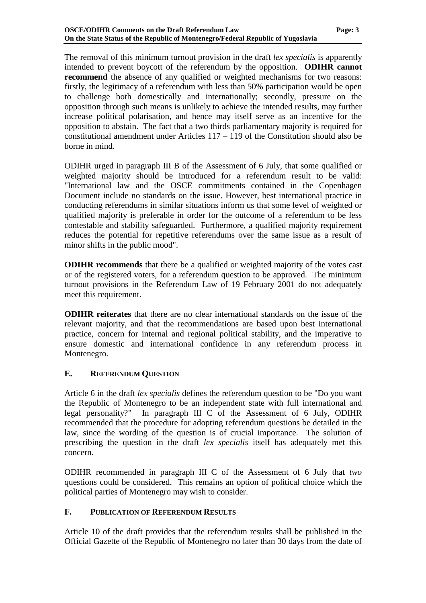<span id="page-4-0"></span>The removal of this minimum turnout provision in the draft *lex specialis* is apparently intended to prevent boycott of the referendum by the opposition. **ODIHR cannot recommend** the absence of any qualified or weighted mechanisms for two reasons: firstly, the legitimacy of a referendum with less than 50% participation would be open to challenge both domestically and internationally; secondly, pressure on the opposition through such means is unlikely to achieve the intended results, may further increase political polarisation, and hence may itself serve as an incentive for the opposition to abstain. The fact that a two thirds parliamentary majority is required for constitutional amendment under Articles 117 – 119 of the Constitution should also be borne in mind.

ODIHR urged in paragraph III B of the Assessment of 6 July, that some qualified or weighted majority should be introduced for a referendum result to be valid: "International law and the OSCE commitments contained in the Copenhagen Document include no standards on the issue. However, best international practice in conducting referendums in similar situations inform us that some level of weighted or qualified majority is preferable in order for the outcome of a referendum to be less contestable and stability safeguarded. Furthermore, a qualified majority requirement reduces the potential for repetitive referendums over the same issue as a result of minor shifts in the public mood".

**ODIHR recommends** that there be a qualified or weighted majority of the votes cast or of the registered voters, for a referendum question to be approved. The minimum turnout provisions in the Referendum Law of 19 February 2001 do not adequately meet this requirement.

**ODIHR reiterates** that there are no clear international standards on the issue of the relevant majority, and that the recommendations are based upon best international practice, concern for internal and regional political stability, and the imperative to ensure domestic and international confidence in any referendum process in Montenegro.

## **E. REFERENDUM QUESTION**

Article 6 in the draft *lex specialis* defines the referendum question to be "Do you want the Republic of Montenegro to be an independent state with full international and legal personality?" In paragraph III C of the Assessment of 6 July, ODIHR recommended that the procedure for adopting referendum questions be detailed in the law, since the wording of the question is of crucial importance. The solution of prescribing the question in the draft *lex specialis* itself has adequately met this concern.

ODIHR recommended in paragraph III C of the Assessment of 6 July that *two* questions could be considered. This remains an option of political choice which the political parties of Montenegro may wish to consider.

## **F. PUBLICATION OF REFERENDUM RESULTS**

Article 10 of the draft provides that the referendum results shall be published in the Official Gazette of the Republic of Montenegro no later than 30 days from the date of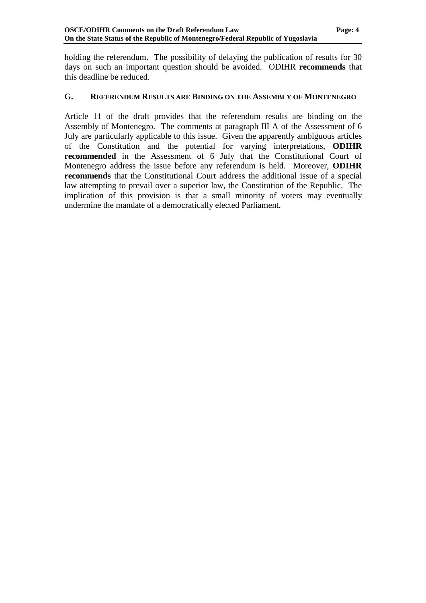holding the referendum. The possibility of delaying the publication of results for 30 days on such an important question should be avoided. ODIHR **recommends** that this deadline be reduced.

#### **G. REFERENDUM RESULTS ARE BINDING ON THE ASSEMBLY OF MONTENEGRO**

Article 11 of the draft provides that the referendum results are binding on the Assembly of Montenegro. The comments at paragraph III A of the Assessment of 6 July are particularly applicable to this issue. Given the apparently ambiguous articles of the Constitution and the potential for varying interpretations, **ODIHR recommended** in the Assessment of 6 July that the Constitutional Court of Montenegro address the issue before any referendum is held. Moreover, **ODIHR recommends** that the Constitutional Court address the additional issue of a special law attempting to prevail over a superior law, the Constitution of the Republic. The implication of this provision is that a small minority of voters may eventually undermine the mandate of a democratically elected Parliament.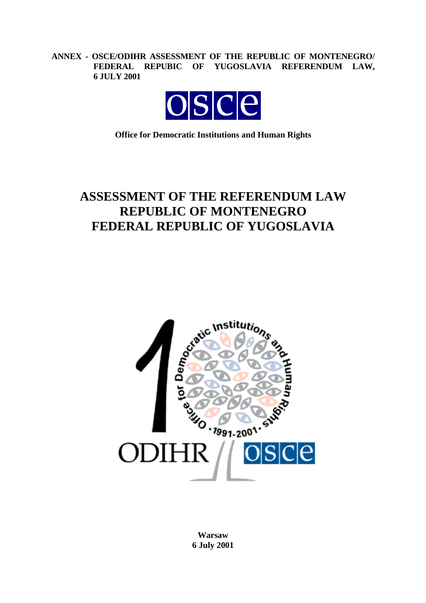**ANNEX - OSCE/ODIHR ASSESSMENT OF THE REPUBLIC OF MONTENEGRO/ FEDERAL REPUBIC OF YUGOSLAVIA REFERENDUM LAW, 6 JULY 2001** 



**Office for Democratic Institutions and Human Rights** 

# **ASSESSMENT OF THE REFERENDUM LAW REPUBLIC OF MONTENEGRO FEDERAL REPUBLIC OF YUGOSLAVIA**



**Warsaw 6 July 2001**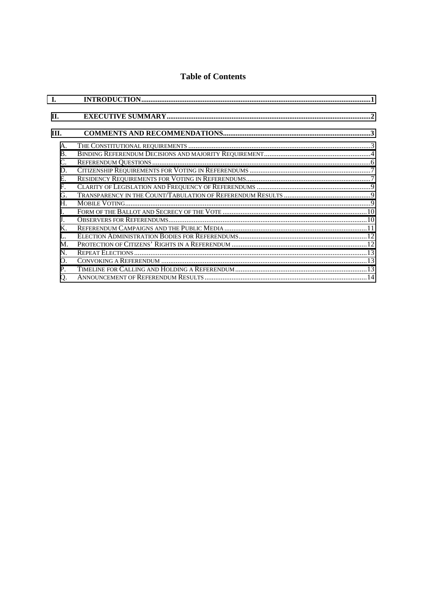# **Table of Contents**

| T.             |  |
|----------------|--|
| П.             |  |
| III.           |  |
| A.             |  |
| <b>B.</b>      |  |
| $C_{\cdot}$    |  |
| D.             |  |
| $E_{\cdot}$    |  |
| $\mathbf{F}$   |  |
| G.             |  |
| $H_{\cdot}$    |  |
| $\mathbf{I}$   |  |
| $\mathbf{J}$ . |  |
| $K_{\cdot}$    |  |
| L.             |  |
| $M_{\odot}$    |  |
| N.             |  |
| $\Omega$ .     |  |
| P.             |  |
| Q.             |  |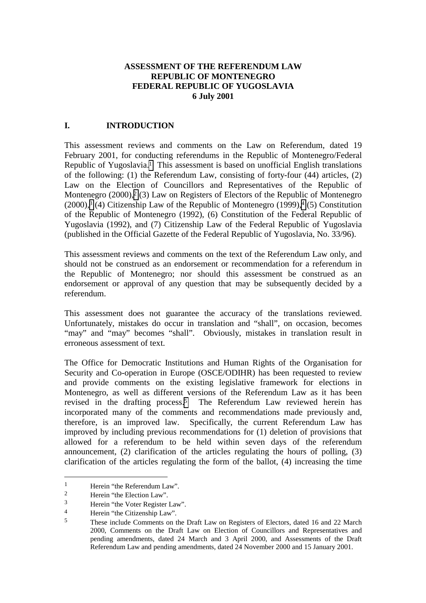#### **ASSESSMENT OF THE REFERENDUM LAW REPUBLIC OF MONTENEGRO FEDERAL REPUBLIC OF YUGOSLAVIA 6 July 2001**

## <span id="page-8-0"></span>**I. INTRODUCTION**

This assessment reviews and comments on the Law on Referendum, dated 19 February 2001, for conducting referendums in the Republic of Montenegro/Federal Republic of Yugoslavia.1 This assessment is based on unofficial English translations of the following: (1) the Referendum Law, consisting of forty-four (44) articles, (2) Law on the Election of Councillors and Representatives of the Republic of Montenegro  $(2000)$ ,  $(3)$  Law on Registers of Electors of the Republic of Montenegro  $(2000)$ ,<sup>3</sup> (4) Citizenship Law of the Republic of Montenegro (1999),<sup>4</sup> (5) Constitution of the Republic of Montenegro (1992), (6) Constitution of the Federal Republic of Yugoslavia (1992), and (7) Citizenship Law of the Federal Republic of Yugoslavia (published in the Official Gazette of the Federal Republic of Yugoslavia, No. 33/96).

This assessment reviews and comments on the text of the Referendum Law only, and should not be construed as an endorsement or recommendation for a referendum in the Republic of Montenegro; nor should this assessment be construed as an endorsement or approval of any question that may be subsequently decided by a referendum.

This assessment does not guarantee the accuracy of the translations reviewed. Unfortunately, mistakes do occur in translation and "shall", on occasion, becomes "may" and "may" becomes "shall". Obviously, mistakes in translation result in erroneous assessment of text.

The Office for Democratic Institutions and Human Rights of the Organisation for Security and Co-operation in Europe (OSCE/ODIHR) has been requested to review and provide comments on the existing legislative framework for elections in Montenegro, as well as different versions of the Referendum Law as it has been revised in the drafting process.<sup>5</sup> The Referendum Law reviewed herein has incorporated many of the comments and recommendations made previously and, therefore, is an improved law. Specifically, the current Referendum Law has improved by including previous recommendations for (1) deletion of provisions that allowed for a referendum to be held within seven days of the referendum announcement, (2) clarification of the articles regulating the hours of polling, (3) clarification of the articles regulating the form of the ballot, (4) increasing the time

 $\overline{a}$ 

<sup>&</sup>lt;sup>1</sup> Herein "the Referendum Law".

Herein "the Election Law".

 $\frac{3}{4}$  Herein "the Voter Register Law".

 $\frac{4}{5}$  Herein "the Citizenship Law".

<sup>5</sup> These include Comments on the Draft Law on Registers of Electors, dated 16 and 22 March 2000, Comments on the Draft Law on Election of Councillors and Representatives and pending amendments, dated 24 March and 3 April 2000, and Assessments of the Draft Referendum Law and pending amendments, dated 24 November 2000 and 15 January 2001.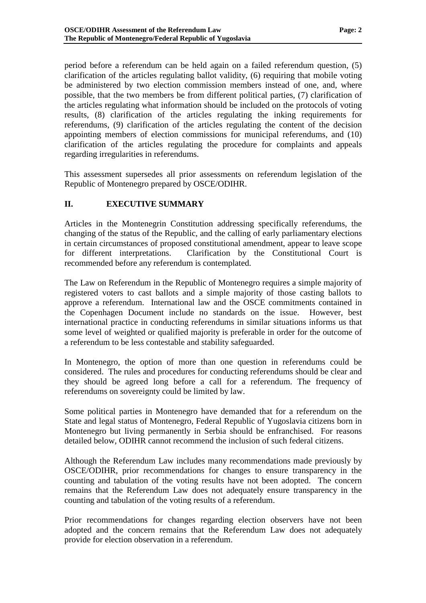<span id="page-9-0"></span>period before a referendum can be held again on a failed referendum question, (5) clarification of the articles regulating ballot validity, (6) requiring that mobile voting be administered by two election commission members instead of one, and, where possible, that the two members be from different political parties, (7) clarification of the articles regulating what information should be included on the protocols of voting results, (8) clarification of the articles regulating the inking requirements for referendums, (9) clarification of the articles regulating the content of the decision appointing members of election commissions for municipal referendums, and (10) clarification of the articles regulating the procedure for complaints and appeals regarding irregularities in referendums.

This assessment supersedes all prior assessments on referendum legislation of the Republic of Montenegro prepared by OSCE/ODIHR.

## **II. EXECUTIVE SUMMARY**

Articles in the Montenegrin Constitution addressing specifically referendums, the changing of the status of the Republic, and the calling of early parliamentary elections in certain circumstances of proposed constitutional amendment, appear to leave scope for different interpretations. Clarification by the Constitutional Court is recommended before any referendum is contemplated.

The Law on Referendum in the Republic of Montenegro requires a simple majority of registered voters to cast ballots and a simple majority of those casting ballots to approve a referendum. International law and the OSCE commitments contained in the Copenhagen Document include no standards on the issue. However, best international practice in conducting referendums in similar situations informs us that some level of weighted or qualified majority is preferable in order for the outcome of a referendum to be less contestable and stability safeguarded.

In Montenegro, the option of more than one question in referendums could be considered. The rules and procedures for conducting referendums should be clear and they should be agreed long before a call for a referendum. The frequency of referendums on sovereignty could be limited by law.

Some political parties in Montenegro have demanded that for a referendum on the State and legal status of Montenegro, Federal Republic of Yugoslavia citizens born in Montenegro but living permanently in Serbia should be enfranchised. For reasons detailed below, ODIHR cannot recommend the inclusion of such federal citizens.

Although the Referendum Law includes many recommendations made previously by OSCE/ODIHR, prior recommendations for changes to ensure transparency in the counting and tabulation of the voting results have not been adopted. The concern remains that the Referendum Law does not adequately ensure transparency in the counting and tabulation of the voting results of a referendum.

Prior recommendations for changes regarding election observers have not been adopted and the concern remains that the Referendum Law does not adequately provide for election observation in a referendum.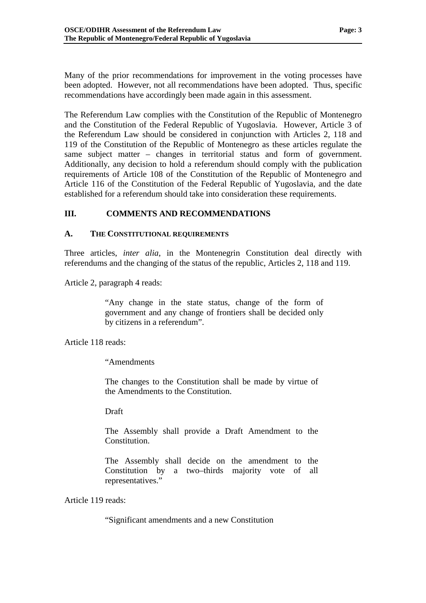<span id="page-10-0"></span>Many of the prior recommendations for improvement in the voting processes have been adopted. However, not all recommendations have been adopted. Thus, specific recommendations have accordingly been made again in this assessment.

The Referendum Law complies with the Constitution of the Republic of Montenegro and the Constitution of the Federal Republic of Yugoslavia. However, Article 3 of the Referendum Law should be considered in conjunction with Articles 2, 118 and 119 of the Constitution of the Republic of Montenegro as these articles regulate the same subject matter – changes in territorial status and form of government. Additionally, any decision to hold a referendum should comply with the publication requirements of Article 108 of the Constitution of the Republic of Montenegro and Article 116 of the Constitution of the Federal Republic of Yugoslavia, and the date established for a referendum should take into consideration these requirements.

## **III. COMMENTS AND RECOMMENDATIONS**

### **A. THE CONSTITUTIONAL REQUIREMENTS**

Three articles, *inter alia*, in the Montenegrin Constitution deal directly with referendums and the changing of the status of the republic, Articles 2, 118 and 119.

Article 2, paragraph 4 reads:

"Any change in the state status, change of the form of government and any change of frontiers shall be decided only by citizens in a referendum".

Article 118 reads:

"Amendments

The changes to the Constitution shall be made by virtue of the Amendments to the Constitution.

Draft

The Assembly shall provide a Draft Amendment to the Constitution.

The Assembly shall decide on the amendment to the Constitution by a two–thirds majority vote of all representatives."

Article 119 reads:

"Significant amendments and a new Constitution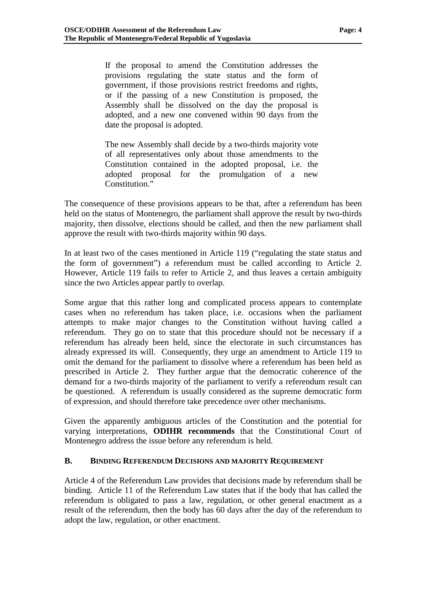<span id="page-11-0"></span>If the proposal to amend the Constitution addresses the provisions regulating the state status and the form of government, if those provisions restrict freedoms and rights, or if the passing of a new Constitution is proposed, the Assembly shall be dissolved on the day the proposal is adopted, and a new one convened within 90 days from the date the proposal is adopted.

The new Assembly shall decide by a two-thirds majority vote of all representatives only about those amendments to the Constitution contained in the adopted proposal, i.e. the adopted proposal for the promulgation of a new Constitution."

The consequence of these provisions appears to be that, after a referendum has been held on the status of Montenegro, the parliament shall approve the result by two-thirds majority, then dissolve, elections should be called, and then the new parliament shall approve the result with two-thirds majority within 90 days.

In at least two of the cases mentioned in Article 119 ("regulating the state status and the form of government") a referendum must be called according to Article 2. However, Article 119 fails to refer to Article 2, and thus leaves a certain ambiguity since the two Articles appear partly to overlap.

Some argue that this rather long and complicated process appears to contemplate cases when no referendum has taken place, i.e. occasions when the parliament attempts to make major changes to the Constitution without having called a referendum. They go on to state that this procedure should not be necessary if a referendum has already been held, since the electorate in such circumstances has already expressed its will. Consequently, they urge an amendment to Article 119 to omit the demand for the parliament to dissolve where a referendum has been held as prescribed in Article 2. They further argue that the democratic coherence of the demand for a two-thirds majority of the parliament to verify a referendum result can be questioned. A referendum is usually considered as the supreme democratic form of expression, and should therefore take precedence over other mechanisms.

Given the apparently ambiguous articles of the Constitution and the potential for varying interpretations, **ODIHR recommends** that the Constitutional Court of Montenegro address the issue before any referendum is held.

#### **B. BINDING REFERENDUM DECISIONS AND MAJORITY REQUIREMENT**

Article 4 of the Referendum Law provides that decisions made by referendum shall be binding. Article 11 of the Referendum Law states that if the body that has called the referendum is obligated to pass a law, regulation, or other general enactment as a result of the referendum, then the body has 60 days after the day of the referendum to adopt the law, regulation, or other enactment.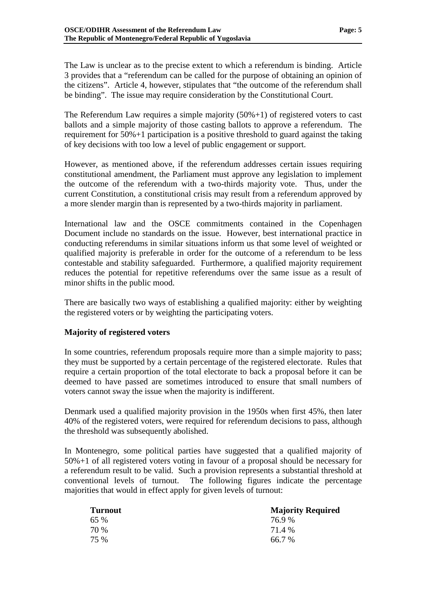The Law is unclear as to the precise extent to which a referendum is binding. Article 3 provides that a "referendum can be called for the purpose of obtaining an opinion of the citizens". Article 4, however, stipulates that "the outcome of the referendum shall be binding". The issue may require consideration by the Constitutional Court.

The Referendum Law requires a simple majority  $(50\% + 1)$  of registered voters to cast ballots and a simple majority of those casting ballots to approve a referendum. The requirement for  $50\% + 1$  participation is a positive threshold to guard against the taking of key decisions with too low a level of public engagement or support.

However, as mentioned above, if the referendum addresses certain issues requiring constitutional amendment, the Parliament must approve any legislation to implement the outcome of the referendum with a two-thirds majority vote. Thus, under the current Constitution, a constitutional crisis may result from a referendum approved by a more slender margin than is represented by a two-thirds majority in parliament.

International law and the OSCE commitments contained in the Copenhagen Document include no standards on the issue. However, best international practice in conducting referendums in similar situations inform us that some level of weighted or qualified majority is preferable in order for the outcome of a referendum to be less contestable and stability safeguarded. Furthermore, a qualified majority requirement reduces the potential for repetitive referendums over the same issue as a result of minor shifts in the public mood.

There are basically two ways of establishing a qualified majority: either by weighting the registered voters or by weighting the participating voters.

## **Majority of registered voters**

In some countries, referendum proposals require more than a simple majority to pass; they must be supported by a certain percentage of the registered electorate. Rules that require a certain proportion of the total electorate to back a proposal before it can be deemed to have passed are sometimes introduced to ensure that small numbers of voters cannot sway the issue when the majority is indifferent.

Denmark used a qualified majority provision in the 1950s when first 45%, then later 40% of the registered voters, were required for referendum decisions to pass, although the threshold was subsequently abolished.

In Montenegro, some political parties have suggested that a qualified majority of 50%+1 of all registered voters voting in favour of a proposal should be necessary for a referendum result to be valid. Such a provision represents a substantial threshold at conventional levels of turnout. The following figures indicate the percentage majorities that would in effect apply for given levels of turnout:

| <b>Turnout</b> | <b>Majority Required</b> |
|----------------|--------------------------|
| 65%            | 76.9 %                   |
| 70 %           | 71.4 %                   |
| 75 %           | $66.7\%$                 |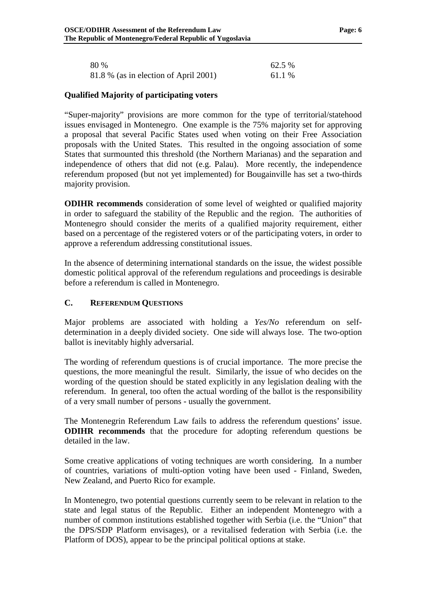<span id="page-13-0"></span>

| 80 %                                  | 62.5 % |
|---------------------------------------|--------|
| 81.8 % (as in election of April 2001) | 61.1 % |

#### **Qualified Majority of participating voters**

"Super-majority" provisions are more common for the type of territorial/statehood issues envisaged in Montenegro. One example is the 75% majority set for approving a proposal that several Pacific States used when voting on their Free Association proposals with the United States. This resulted in the ongoing association of some States that surmounted this threshold (the Northern Marianas) and the separation and independence of others that did not (e.g. Palau). More recently, the independence referendum proposed (but not yet implemented) for Bougainville has set a two-thirds majority provision.

**ODIHR recommends** consideration of some level of weighted or qualified majority in order to safeguard the stability of the Republic and the region. The authorities of Montenegro should consider the merits of a qualified majority requirement, either based on a percentage of the registered voters or of the participating voters, in order to approve a referendum addressing constitutional issues.

In the absence of determining international standards on the issue, the widest possible domestic political approval of the referendum regulations and proceedings is desirable before a referendum is called in Montenegro.

#### **C. REFERENDUM QUESTIONS**

Major problems are associated with holding a *Yes/No* referendum on selfdetermination in a deeply divided society. One side will always lose. The two-option ballot is inevitably highly adversarial.

The wording of referendum questions is of crucial importance. The more precise the questions, the more meaningful the result. Similarly, the issue of who decides on the wording of the question should be stated explicitly in any legislation dealing with the referendum. In general, too often the actual wording of the ballot is the responsibility of a very small number of persons - usually the government.

The Montenegrin Referendum Law fails to address the referendum questions' issue. **ODIHR recommends** that the procedure for adopting referendum questions be detailed in the law.

Some creative applications of voting techniques are worth considering. In a number of countries, variations of multi-option voting have been used - Finland, Sweden, New Zealand, and Puerto Rico for example.

In Montenegro, two potential questions currently seem to be relevant in relation to the state and legal status of the Republic. Either an independent Montenegro with a number of common institutions established together with Serbia (i.e. the "Union" that the DPS/SDP Platform envisages), or a revitalised federation with Serbia (i.e. the Platform of DOS), appear to be the principal political options at stake.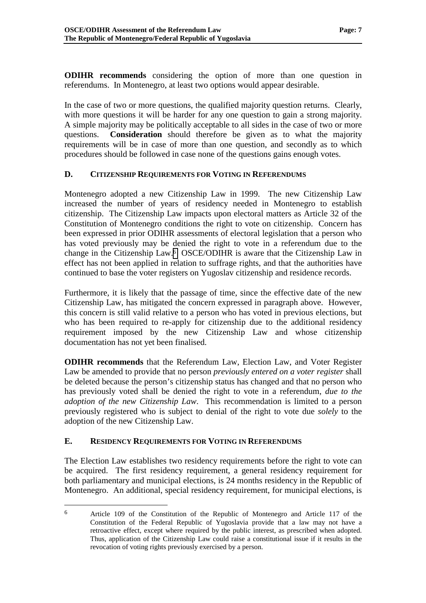<span id="page-14-0"></span>**ODIHR recommends** considering the option of more than one question in referendums. In Montenegro, at least two options would appear desirable.

In the case of two or more questions, the qualified majority question returns. Clearly, with more questions it will be harder for any one question to gain a strong majority. A simple majority may be politically acceptable to all sides in the case of two or more questions. **Consideration** should therefore be given as to what the majority requirements will be in case of more than one question, and secondly as to which procedures should be followed in case none of the questions gains enough votes.

## **D. CITIZENSHIP REQUIREMENTS FOR VOTING IN REFERENDUMS**

Montenegro adopted a new Citizenship Law in 1999. The new Citizenship Law increased the number of years of residency needed in Montenegro to establish citizenship. The Citizenship Law impacts upon electoral matters as Article 32 of the Constitution of Montenegro conditions the right to vote on citizenship. Concern has been expressed in prior ODIHR assessments of electoral legislation that a person who has voted previously may be denied the right to vote in a referendum due to the change in the Citizenship Law.6 OSCE/ODIHR is aware that the Citizenship Law in effect has not been applied in relation to suffrage rights, and that the authorities have continued to base the voter registers on Yugoslav citizenship and residence records.

Furthermore, it is likely that the passage of time, since the effective date of the new Citizenship Law, has mitigated the concern expressed in paragraph above. However, this concern is still valid relative to a person who has voted in previous elections, but who has been required to re-apply for citizenship due to the additional residency requirement imposed by the new Citizenship Law and whose citizenship documentation has not yet been finalised.

**ODIHR recommends** that the Referendum Law, Election Law, and Voter Register Law be amended to provide that no person *previously entered on a voter register* shall be deleted because the person's citizenship status has changed and that no person who has previously voted shall be denied the right to vote in a referendum, *due to the adoption of the new Citizenship Law*. This recommendation is limited to a person previously registered who is subject to denial of the right to vote due *solely* to the adoption of the new Citizenship Law.

## **E. RESIDENCY REQUIREMENTS FOR VOTING IN REFERENDUMS**

 $\overline{a}$ 

The Election Law establishes two residency requirements before the right to vote can be acquired. The first residency requirement, a general residency requirement for both parliamentary and municipal elections, is 24 months residency in the Republic of Montenegro. An additional, special residency requirement, for municipal elections, is

<sup>6</sup> Article 109 of the Constitution of the Republic of Montenegro and Article 117 of the Constitution of the Federal Republic of Yugoslavia provide that a law may not have a retroactive effect, except where required by the public interest, as prescribed when adopted. Thus, application of the Citizenship Law could raise a constitutional issue if it results in the revocation of voting rights previously exercised by a person.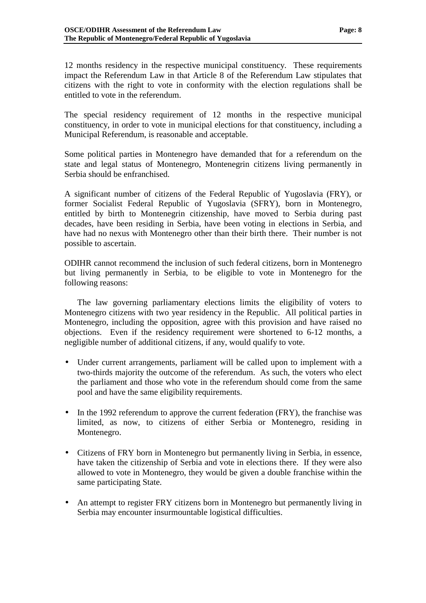12 months residency in the respective municipal constituency. These requirements impact the Referendum Law in that Article 8 of the Referendum Law stipulates that citizens with the right to vote in conformity with the election regulations shall be entitled to vote in the referendum.

The special residency requirement of 12 months in the respective municipal constituency, in order to vote in municipal elections for that constituency, including a Municipal Referendum, is reasonable and acceptable.

Some political parties in Montenegro have demanded that for a referendum on the state and legal status of Montenegro, Montenegrin citizens living permanently in Serbia should be enfranchised.

A significant number of citizens of the Federal Republic of Yugoslavia (FRY), or former Socialist Federal Republic of Yugoslavia (SFRY), born in Montenegro, entitled by birth to Montenegrin citizenship, have moved to Serbia during past decades, have been residing in Serbia, have been voting in elections in Serbia, and have had no nexus with Montenegro other than their birth there. Their number is not possible to ascertain.

ODIHR cannot recommend the inclusion of such federal citizens, born in Montenegro but living permanently in Serbia, to be eligible to vote in Montenegro for the following reasons:

 The law governing parliamentary elections limits the eligibility of voters to Montenegro citizens with two year residency in the Republic. All political parties in Montenegro, including the opposition, agree with this provision and have raised no objections. Even if the residency requirement were shortened to 6-12 months, a negligible number of additional citizens, if any, would qualify to vote.

- Under current arrangements, parliament will be called upon to implement with a two-thirds majority the outcome of the referendum. As such, the voters who elect the parliament and those who vote in the referendum should come from the same pool and have the same eligibility requirements.
- In the 1992 referendum to approve the current federation (FRY), the franchise was limited, as now, to citizens of either Serbia or Montenegro, residing in Montenegro.
- Citizens of FRY born in Montenegro but permanently living in Serbia, in essence, have taken the citizenship of Serbia and vote in elections there. If they were also allowed to vote in Montenegro, they would be given a double franchise within the same participating State.
- An attempt to register FRY citizens born in Montenegro but permanently living in Serbia may encounter insurmountable logistical difficulties.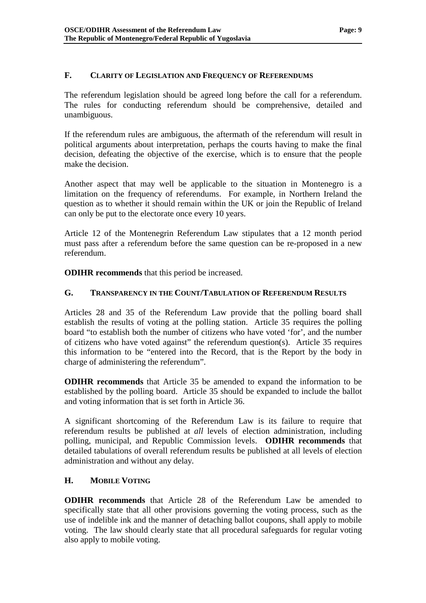## <span id="page-16-0"></span>**F. CLARITY OF LEGISLATION AND FREQUENCY OF REFERENDUMS**

The referendum legislation should be agreed long before the call for a referendum. The rules for conducting referendum should be comprehensive, detailed and unambiguous.

If the referendum rules are ambiguous, the aftermath of the referendum will result in political arguments about interpretation, perhaps the courts having to make the final decision, defeating the objective of the exercise, which is to ensure that the people make the decision.

Another aspect that may well be applicable to the situation in Montenegro is a limitation on the frequency of referendums. For example, in Northern Ireland the question as to whether it should remain within the UK or join the Republic of Ireland can only be put to the electorate once every 10 years.

Article 12 of the Montenegrin Referendum Law stipulates that a 12 month period must pass after a referendum before the same question can be re-proposed in a new referendum.

**ODIHR recommends** that this period be increased.

### **G. TRANSPARENCY IN THE COUNT/TABULATION OF REFERENDUM RESULTS**

Articles 28 and 35 of the Referendum Law provide that the polling board shall establish the results of voting at the polling station. Article 35 requires the polling board "to establish both the number of citizens who have voted 'for', and the number of citizens who have voted against" the referendum question(s). Article 35 requires this information to be "entered into the Record, that is the Report by the body in charge of administering the referendum".

**ODIHR recommends** that Article 35 be amended to expand the information to be established by the polling board. Article 35 should be expanded to include the ballot and voting information that is set forth in Article 36.

A significant shortcoming of the Referendum Law is its failure to require that referendum results be published at *all* levels of election administration, including polling, municipal, and Republic Commission levels. **ODIHR recommends** that detailed tabulations of overall referendum results be published at all levels of election administration and without any delay.

#### **H. MOBILE VOTING**

**ODIHR recommends** that Article 28 of the Referendum Law be amended to specifically state that all other provisions governing the voting process, such as the use of indelible ink and the manner of detaching ballot coupons, shall apply to mobile voting. The law should clearly state that all procedural safeguards for regular voting also apply to mobile voting.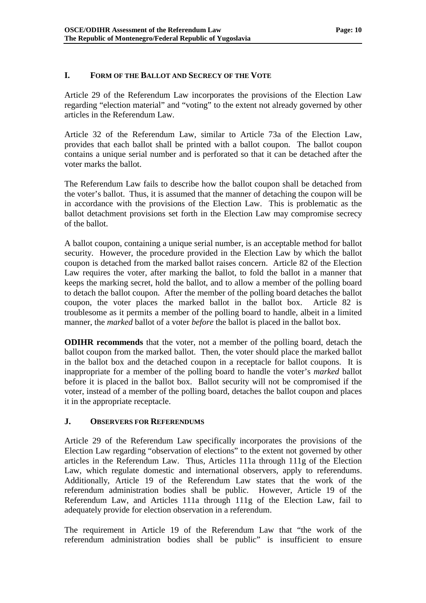## <span id="page-17-0"></span>**I. FORM OF THE BALLOT AND SECRECY OF THE VOTE**

Article 29 of the Referendum Law incorporates the provisions of the Election Law regarding "election material" and "voting" to the extent not already governed by other articles in the Referendum Law.

Article 32 of the Referendum Law, similar to Article 73a of the Election Law, provides that each ballot shall be printed with a ballot coupon. The ballot coupon contains a unique serial number and is perforated so that it can be detached after the voter marks the ballot.

The Referendum Law fails to describe how the ballot coupon shall be detached from the voter's ballot. Thus, it is assumed that the manner of detaching the coupon will be in accordance with the provisions of the Election Law. This is problematic as the ballot detachment provisions set forth in the Election Law may compromise secrecy of the ballot.

A ballot coupon, containing a unique serial number, is an acceptable method for ballot security. However, the procedure provided in the Election Law by which the ballot coupon is detached from the marked ballot raises concern. Article 82 of the Election Law requires the voter, after marking the ballot, to fold the ballot in a manner that keeps the marking secret, hold the ballot, and to allow a member of the polling board to detach the ballot coupon. After the member of the polling board detaches the ballot coupon, the voter places the marked ballot in the ballot box. Article 82 is troublesome as it permits a member of the polling board to handle, albeit in a limited manner, the *marked* ballot of a voter *before* the ballot is placed in the ballot box.

**ODIHR recommends** that the voter, not a member of the polling board, detach the ballot coupon from the marked ballot. Then, the voter should place the marked ballot in the ballot box and the detached coupon in a receptacle for ballot coupons. It is inappropriate for a member of the polling board to handle the voter's *marked* ballot before it is placed in the ballot box. Ballot security will not be compromised if the voter, instead of a member of the polling board, detaches the ballot coupon and places it in the appropriate receptacle.

#### **J. OBSERVERS FOR REFERENDUMS**

Article 29 of the Referendum Law specifically incorporates the provisions of the Election Law regarding "observation of elections" to the extent not governed by other articles in the Referendum Law. Thus, Articles 111a through 111g of the Election Law, which regulate domestic and international observers, apply to referendums. Additionally, Article 19 of the Referendum Law states that the work of the referendum administration bodies shall be public. However, Article 19 of the Referendum Law, and Articles 111a through 111g of the Election Law, fail to adequately provide for election observation in a referendum.

The requirement in Article 19 of the Referendum Law that "the work of the referendum administration bodies shall be public" is insufficient to ensure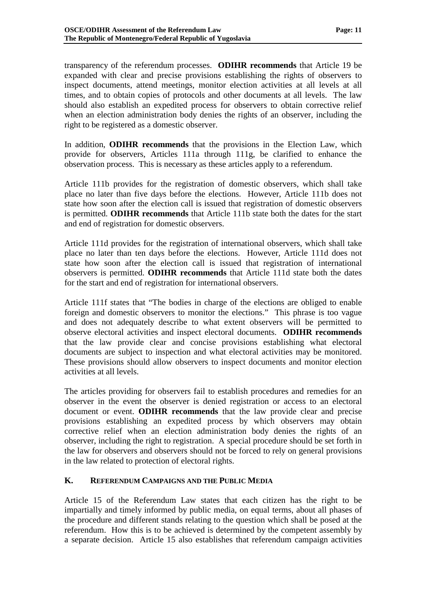<span id="page-18-0"></span>transparency of the referendum processes. **ODIHR recommends** that Article 19 be expanded with clear and precise provisions establishing the rights of observers to inspect documents, attend meetings, monitor election activities at all levels at all times, and to obtain copies of protocols and other documents at all levels. The law should also establish an expedited process for observers to obtain corrective relief when an election administration body denies the rights of an observer, including the right to be registered as a domestic observer.

In addition, **ODIHR recommends** that the provisions in the Election Law, which provide for observers, Articles 111a through 111g, be clarified to enhance the observation process. This is necessary as these articles apply to a referendum.

Article 111b provides for the registration of domestic observers, which shall take place no later than five days before the elections. However, Article 111b does not state how soon after the election call is issued that registration of domestic observers is permitted. **ODIHR recommends** that Article 111b state both the dates for the start and end of registration for domestic observers.

Article 111d provides for the registration of international observers, which shall take place no later than ten days before the elections. However, Article 111d does not state how soon after the election call is issued that registration of international observers is permitted. **ODIHR recommends** that Article 111d state both the dates for the start and end of registration for international observers.

Article 111f states that "The bodies in charge of the elections are obliged to enable foreign and domestic observers to monitor the elections." This phrase is too vague and does not adequately describe to what extent observers will be permitted to observe electoral activities and inspect electoral documents. **ODIHR recommends** that the law provide clear and concise provisions establishing what electoral documents are subject to inspection and what electoral activities may be monitored. These provisions should allow observers to inspect documents and monitor election activities at all levels.

The articles providing for observers fail to establish procedures and remedies for an observer in the event the observer is denied registration or access to an electoral document or event. **ODIHR recommends** that the law provide clear and precise provisions establishing an expedited process by which observers may obtain corrective relief when an election administration body denies the rights of an observer, including the right to registration. A special procedure should be set forth in the law for observers and observers should not be forced to rely on general provisions in the law related to protection of electoral rights.

#### **K. REFERENDUM CAMPAIGNS AND THE PUBLIC MEDIA**

Article 15 of the Referendum Law states that each citizen has the right to be impartially and timely informed by public media, on equal terms, about all phases of the procedure and different stands relating to the question which shall be posed at the referendum. How this is to be achieved is determined by the competent assembly by a separate decision. Article 15 also establishes that referendum campaign activities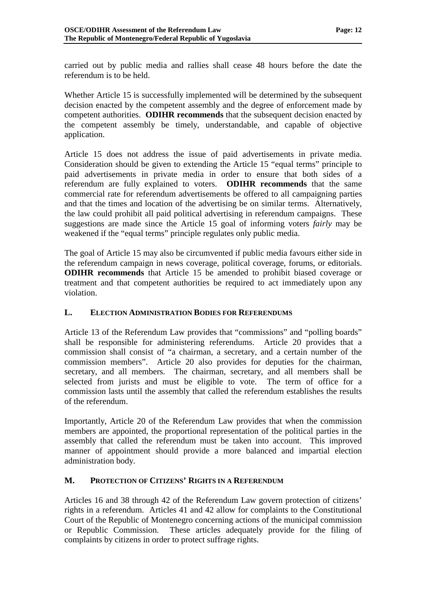<span id="page-19-0"></span>carried out by public media and rallies shall cease 48 hours before the date the referendum is to be held.

Whether Article 15 is successfully implemented will be determined by the subsequent decision enacted by the competent assembly and the degree of enforcement made by competent authorities. **ODIHR recommends** that the subsequent decision enacted by the competent assembly be timely, understandable, and capable of objective application.

Article 15 does not address the issue of paid advertisements in private media. Consideration should be given to extending the Article 15 "equal terms" principle to paid advertisements in private media in order to ensure that both sides of a referendum are fully explained to voters. **ODIHR recommends** that the same commercial rate for referendum advertisements be offered to all campaigning parties and that the times and location of the advertising be on similar terms. Alternatively, the law could prohibit all paid political advertising in referendum campaigns. These suggestions are made since the Article 15 goal of informing voters *fairly* may be weakened if the "equal terms" principle regulates only public media.

The goal of Article 15 may also be circumvented if public media favours either side in the referendum campaign in news coverage, political coverage, forums, or editorials. **ODIHR recommends** that Article 15 be amended to prohibit biased coverage or treatment and that competent authorities be required to act immediately upon any violation.

#### **L. ELECTION ADMINISTRATION BODIES FOR REFERENDUMS**

Article 13 of the Referendum Law provides that "commissions" and "polling boards" shall be responsible for administering referendums. Article 20 provides that a commission shall consist of "a chairman, a secretary, and a certain number of the commission members". Article 20 also provides for deputies for the chairman, secretary, and all members. The chairman, secretary, and all members shall be selected from jurists and must be eligible to vote. The term of office for a commission lasts until the assembly that called the referendum establishes the results of the referendum.

Importantly, Article 20 of the Referendum Law provides that when the commission members are appointed, the proportional representation of the political parties in the assembly that called the referendum must be taken into account. This improved manner of appointment should provide a more balanced and impartial election administration body.

## **M. PROTECTION OF CITIZENS' RIGHTS IN A REFERENDUM**

Articles 16 and 38 through 42 of the Referendum Law govern protection of citizens' rights in a referendum. Articles 41 and 42 allow for complaints to the Constitutional Court of the Republic of Montenegro concerning actions of the municipal commission or Republic Commission. These articles adequately provide for the filing of complaints by citizens in order to protect suffrage rights.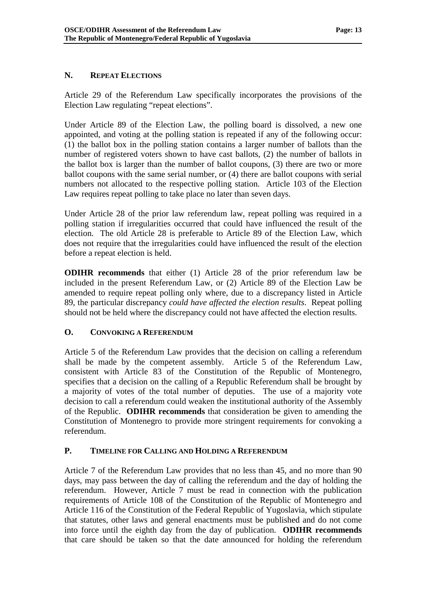## <span id="page-20-0"></span>**N. REPEAT ELECTIONS**

Article 29 of the Referendum Law specifically incorporates the provisions of the Election Law regulating "repeat elections".

Under Article 89 of the Election Law, the polling board is dissolved, a new one appointed, and voting at the polling station is repeated if any of the following occur: (1) the ballot box in the polling station contains a larger number of ballots than the number of registered voters shown to have cast ballots, (2) the number of ballots in the ballot box is larger than the number of ballot coupons, (3) there are two or more ballot coupons with the same serial number, or (4) there are ballot coupons with serial numbers not allocated to the respective polling station. Article 103 of the Election Law requires repeat polling to take place no later than seven days.

Under Article 28 of the prior law referendum law, repeat polling was required in a polling station if irregularities occurred that could have influenced the result of the election. The old Article 28 is preferable to Article 89 of the Election Law, which does not require that the irregularities could have influenced the result of the election before a repeat election is held.

**ODIHR recommends** that either (1) Article 28 of the prior referendum law be included in the present Referendum Law, or (2) Article 89 of the Election Law be amended to require repeat polling only where, due to a discrepancy listed in Article 89, the particular discrepancy *could have affected the election results*. Repeat polling should not be held where the discrepancy could not have affected the election results.

## **O. CONVOKING A REFERENDUM**

Article 5 of the Referendum Law provides that the decision on calling a referendum shall be made by the competent assembly. Article 5 of the Referendum Law, consistent with Article 83 of the Constitution of the Republic of Montenegro, specifies that a decision on the calling of a Republic Referendum shall be brought by a majority of votes of the total number of deputies. The use of a majority vote decision to call a referendum could weaken the institutional authority of the Assembly of the Republic. **ODIHR recommends** that consideration be given to amending the Constitution of Montenegro to provide more stringent requirements for convoking a referendum.

## **P. TIMELINE FOR CALLING AND HOLDING A REFERENDUM**

Article 7 of the Referendum Law provides that no less than 45, and no more than 90 days, may pass between the day of calling the referendum and the day of holding the referendum. However, Article 7 must be read in connection with the publication requirements of Article 108 of the Constitution of the Republic of Montenegro and Article 116 of the Constitution of the Federal Republic of Yugoslavia, which stipulate that statutes, other laws and general enactments must be published and do not come into force until the eighth day from the day of publication. **ODIHR recommends** that care should be taken so that the date announced for holding the referendum